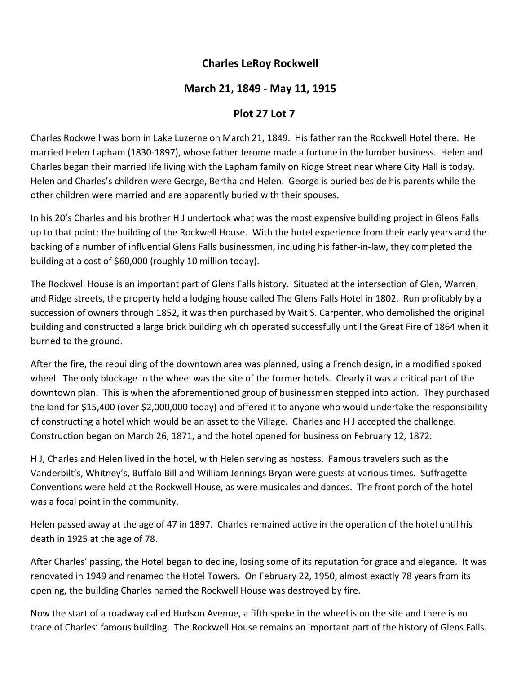## **Charles LeRoy Rockwell**

## **March 21, 1849 ‐ May 11, 1915**

## **Plot 27 Lot 7**

Charles Rockwell was born in Lake Luzerne on March 21, 1849. His father ran the Rockwell Hotel there. He married Helen Lapham (1830‐1897), whose father Jerome made a fortune in the lumber business. Helen and Charles began their married life living with the Lapham family on Ridge Street near where City Hall is today. Helen and Charles's children were George, Bertha and Helen. George is buried beside his parents while the other children were married and are apparently buried with their spouses.

In his 20's Charles and his brother H J undertook what was the most expensive building project in Glens Falls up to that point: the building of the Rockwell House. With the hotel experience from their early years and the backing of a number of influential Glens Falls businessmen, including his father‐in‐law, they completed the building at a cost of \$60,000 (roughly 10 million today).

The Rockwell House is an important part of Glens Falls history. Situated at the intersection of Glen, Warren, and Ridge streets, the property held a lodging house called The Glens Falls Hotel in 1802. Run profitably by a succession of owners through 1852, it was then purchased by Wait S. Carpenter, who demolished the original building and constructed a large brick building which operated successfully until the Great Fire of 1864 when it burned to the ground.

After the fire, the rebuilding of the downtown area was planned, using a French design, in a modified spoked wheel. The only blockage in the wheel was the site of the former hotels. Clearly it was a critical part of the downtown plan. This is when the aforementioned group of businessmen stepped into action. They purchased the land for \$15,400 (over \$2,000,000 today) and offered it to anyone who would undertake the responsibility of constructing a hotel which would be an asset to the Village. Charles and H J accepted the challenge. Construction began on March 26, 1871, and the hotel opened for business on February 12, 1872.

H J, Charles and Helen lived in the hotel, with Helen serving as hostess. Famous travelers such as the Vanderbilt's, Whitney's, Buffalo Bill and William Jennings Bryan were guests at various times. Suffragette Conventions were held at the Rockwell House, as were musicales and dances. The front porch of the hotel was a focal point in the community.

Helen passed away at the age of 47 in 1897. Charles remained active in the operation of the hotel until his death in 1925 at the age of 78.

After Charles' passing, the Hotel began to decline, losing some of its reputation for grace and elegance. It was renovated in 1949 and renamed the Hotel Towers. On February 22, 1950, almost exactly 78 years from its opening, the building Charles named the Rockwell House was destroyed by fire.

Now the start of a roadway called Hudson Avenue, a fifth spoke in the wheel is on the site and there is no trace of Charles' famous building. The Rockwell House remains an important part of the history of Glens Falls.